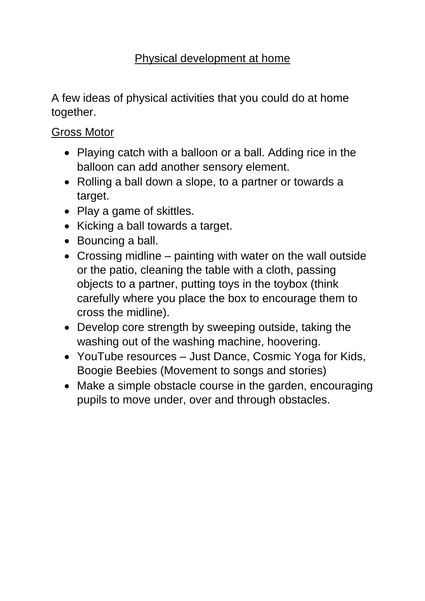## Physical development at home

A few ideas of physical activities that you could do at home together.

## Gross Motor

- Playing catch with a balloon or a ball. Adding rice in the balloon can add another sensory element.
- Rolling a ball down a slope, to a partner or towards a target.
- Play a game of skittles.
- Kicking a ball towards a target.
- Bouncing a ball.
- Crossing midline painting with water on the wall outside or the patio, cleaning the table with a cloth, passing objects to a partner, putting toys in the toybox (think carefully where you place the box to encourage them to cross the midline).
- Develop core strength by sweeping outside, taking the washing out of the washing machine, hoovering.
- YouTube resources Just Dance, Cosmic Yoga for Kids, Boogie Beebies (Movement to songs and stories)
- Make a simple obstacle course in the garden, encouraging pupils to move under, over and through obstacles.